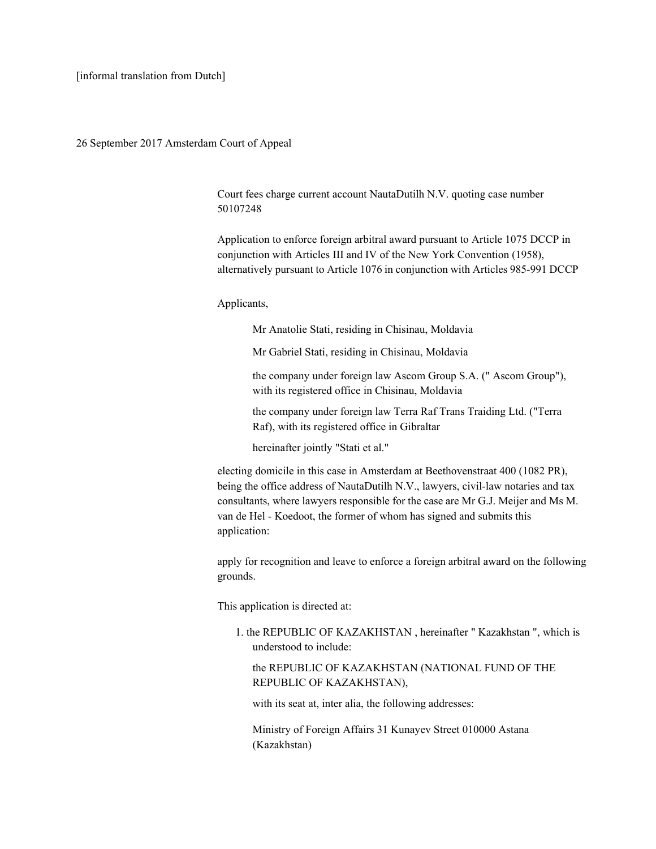26 September 2017 Amsterdam Court of Appeal

Court fees charge current account NautaDutilh N.V. quoting case number 50107248

Application to enforce foreign arbitral award pursuant to Article 1075 DCCP in conjunction with Articles III and IV of the New York Convention (1958), alternatively pursuant to Article 1076 in conjunction with Articles 985-991 DCCP

## Applicants,

Mr Anatolie Stati, residing in Chisinau, Moldavia

Mr Gabriel Stati, residing in Chisinau, Moldavia

the company under foreign law Ascom Group S.A. (" Ascom Group"), with its registered office in Chisinau, Moldavia

the company under foreign law Terra Raf Trans Traiding Ltd. ("Terra Raf), with its registered office in Gibraltar

hereinafter jointly "Stati et al."

electing domicile in this case in Amsterdam at Beethovenstraat 400 (1082 PR), being the office address of NautaDutilh N.V., lawyers, civil-law notaries and tax consultants, where lawyers responsible for the case are Mr G.J. Meijer and Ms M. van de Hel - Koedoot, the former of whom has signed and submits this application:

apply for recognition and leave to enforce a foreign arbitral award on the following grounds.

This application is directed at:

1. the REPUBLIC OF KAZAKHSTAN , hereinafter " Kazakhstan ", which is understood to include:

the REPUBLIC OF KAZAKHSTAN (NATIONAL FUND OF THE REPUBLIC OF KAZAKHSTAN),

with its seat at, inter alia, the following addresses:

Ministry of Foreign Affairs 31 Kunayev Street 010000 Astana (Kazakhstan)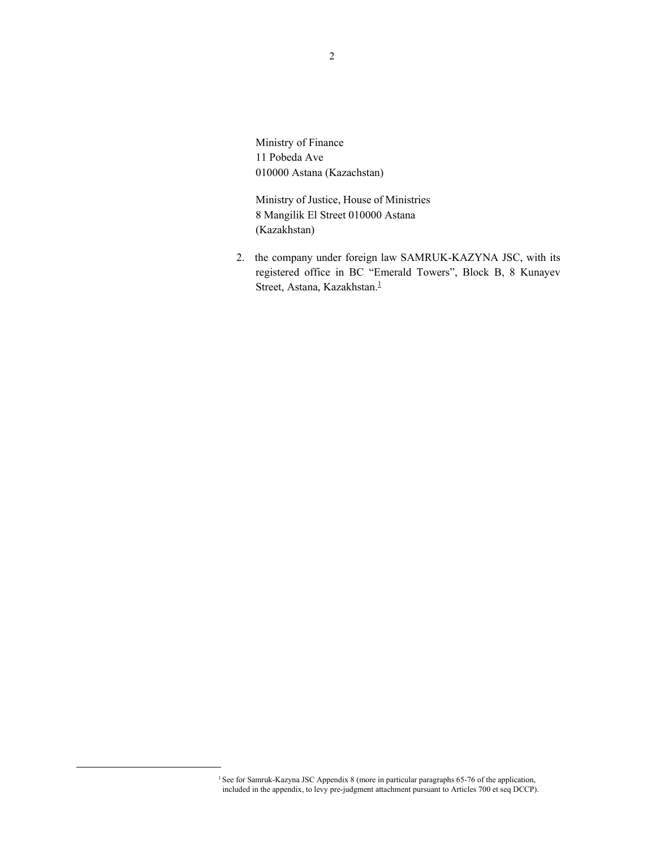Ministry of Finance 11 Pobeda Ave 010000 Astana (Kazachstan)

Ministry of Justice, House of Ministries 8 Mangilik El Street 010000 Astana (Kazakhstan)

2. the company under foreign law SAMRUK-KAZYNA JSC, with its registered office in BC "Emerald Towers", Block B, 8 Kunayev Street, Astana, Kazakhstan.<sup>1</sup>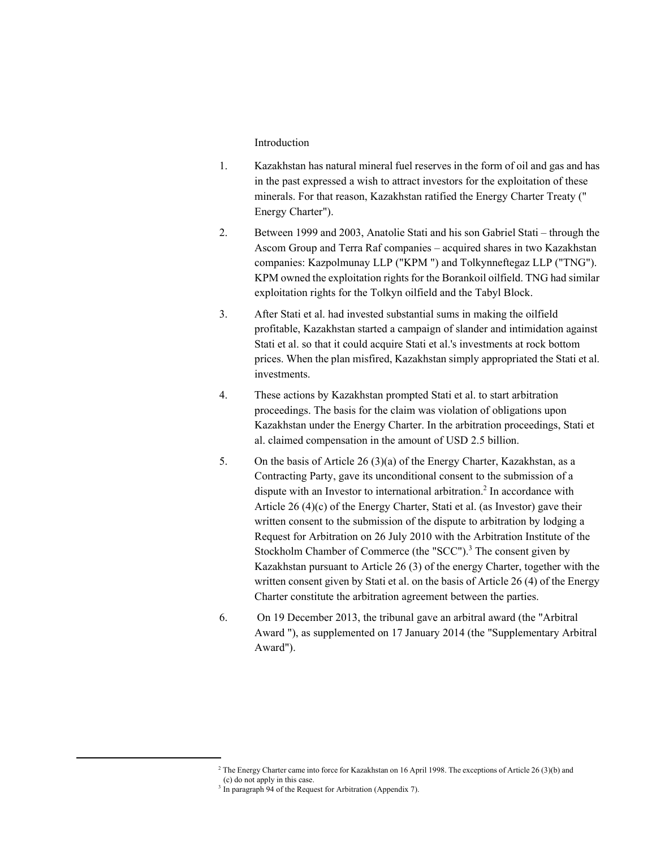# Introduction

- 1. Kazakhstan has natural mineral fuel reserves in the form of oil and gas and has in the past expressed a wish to attract investors for the exploitation of these minerals. For that reason, Kazakhstan ratified the Energy Charter Treaty (" Energy Charter").
- 2. Between 1999 and 2003, Anatolie Stati and his son Gabriel Stati through the Ascom Group and Terra Raf companies – acquired shares in two Kazakhstan companies: Kazpolmunay LLP ("KPM ") and Tolkynneftegaz LLP ("TNG"). KPM owned the exploitation rights for the Borankoil oilfield. TNG had similar exploitation rights for the Tolkyn oilfield and the Tabyl Block.
- 3. After Stati et al. had invested substantial sums in making the oilfield profitable, Kazakhstan started a campaign of slander and intimidation against Stati et al. so that it could acquire Stati et al.'s investments at rock bottom prices. When the plan misfired, Kazakhstan simply appropriated the Stati et al. investments.
- 4. These actions by Kazakhstan prompted Stati et al. to start arbitration proceedings. The basis for the claim was violation of obligations upon Kazakhstan under the Energy Charter. In the arbitration proceedings, Stati et al. claimed compensation in the amount of USD 2.5 billion.
- 5. On the basis of Article 26 (3)(a) of the Energy Charter, Kazakhstan, as a Contracting Party, gave its unconditional consent to the submission of a dispute with an Investor to international arbitration.<sup>2</sup> In accordance with Article 26 (4)(c) of the Energy Charter, Stati et al. (as Investor) gave their written consent to the submission of the dispute to arbitration by lodging a Request for Arbitration on 26 July 2010 with the Arbitration Institute of the Stockholm Chamber of Commerce (the "SCC").<sup>3</sup> The consent given by Kazakhstan pursuant to Article 26 (3) of the energy Charter, together with the written consent given by Stati et al. on the basis of Article 26 (4) of the Energy Charter constitute the arbitration agreement between the parties.
- 6. On 19 December 2013, the tribunal gave an arbitral award (the "Arbitral Award "), as supplemented on 17 January 2014 (the "Supplementary Arbitral Award").

<sup>&</sup>lt;sup>2</sup> The Energy Charter came into force for Kazakhstan on 16 April 1998. The exceptions of Article 26 (3)(b) and (c) do not apply in this case.

<sup>&</sup>lt;sup>3</sup> In paragraph 94 of the Request for Arbitration (Appendix 7).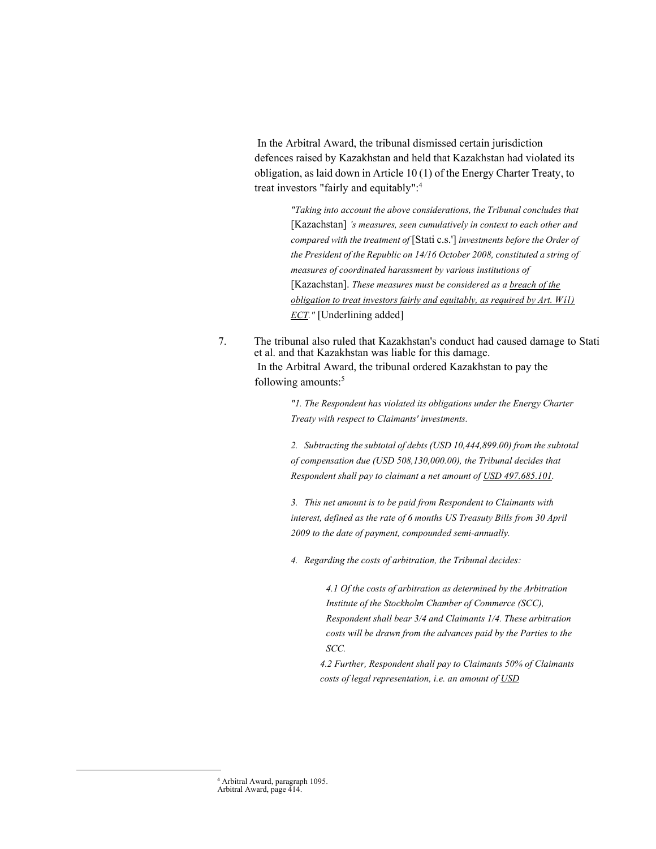In the Arbitral Award, the tribunal dismissed certain jurisdiction defences raised by Kazakhstan and held that Kazakhstan had violated its obligation, as laid down in Article 10 (1) of the Energy Charter Treaty, to treat investors "fairly and equitably":<sup>4</sup>

> *"Taking into account the above considerations, the Tribunal concludes that* [Kazachstan] *'s measures, seen cumulatively in context to each other and compared with the treatment of* [Stati c.s.'] *investments before the Order of the President of the Republic on 14/16 October 2008, constituted a string of measures of coordinated harassment by various institutions of* [Kazachstan]. *These measures must be considered as a breach of the obligation to treat investors fairly and equitably, as required by Art. Wíl) ECT."* [Underlining added]

7. The tribunal also ruled that Kazakhstan's conduct had caused damage to Stati et al. and that Kazakhstan was liable for this damage. In the Arbitral Award, the tribunal ordered Kazakhstan to pay the following amounts:<sup>5</sup>

> *"1. The Respondent has violated its obligations under the Energy Charter Treaty with respect to Claimants' investments.*

*2. Subtracting the subtotal of debts (USD 10,444,899.00) from the subtotal of compensation due (USD 508,130,000.00), the Tribunal decides that Respondent shall pay to claimant a net amount of USD 497.685.101.* 

*3. This net amount is to be paid from Respondent to Claimants with interest, defined as the rate of 6 months US Treasuty Bills from 30 April 2009 to the date of payment, compounded semi-annually.* 

*4. Regarding the costs of arbitration, the Tribunal decides:* 

*4.1 Of the costs of arbitration as determined by the Arbitration Institute of the Stockholm Chamber of Commerce (SCC), Respondent shall bear 3/4 and Claimants 1/4. These arbitration costs will be drawn from the advances paid by the Parties to the SCC.* 

*4.2 Further, Respondent shall pay to Claimants 50% of Claimants costs of legal representation, i.e. an amount of USD*

4 Arbitral Award, paragraph 1095. Arbitral Award, page 414.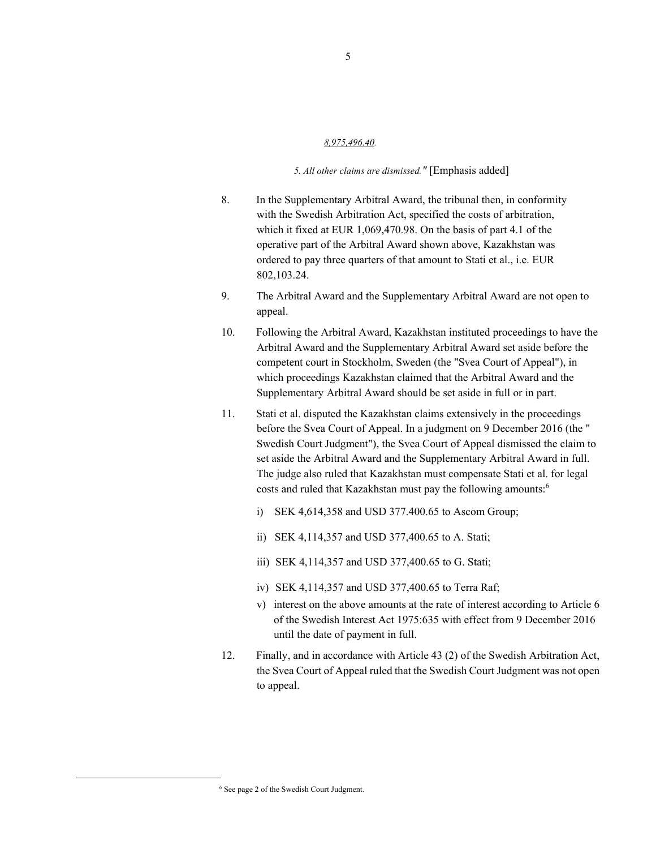#### *8,975,496.40.*

## *5. All other claims are dismissed."* [Emphasis added]

- 8. In the Supplementary Arbitral Award, the tribunal then, in conformity with the Swedish Arbitration Act, specified the costs of arbitration, which it fixed at EUR 1,069,470.98. On the basis of part 4.1 of the operative part of the Arbitral Award shown above, Kazakhstan was ordered to pay three quarters of that amount to Stati et al., i.e. EUR 802,103.24.
- 9. The Arbitral Award and the Supplementary Arbitral Award are not open to appeal.
- 10. Following the Arbitral Award, Kazakhstan instituted proceedings to have the Arbitral Award and the Supplementary Arbitral Award set aside before the competent court in Stockholm, Sweden (the "Svea Court of Appeal"), in which proceedings Kazakhstan claimed that the Arbitral Award and the Supplementary Arbitral Award should be set aside in full or in part.
- 11. Stati et al. disputed the Kazakhstan claims extensively in the proceedings before the Svea Court of Appeal. In a judgment on 9 December 2016 (the " Swedish Court Judgment"), the Svea Court of Appeal dismissed the claim to set aside the Arbitral Award and the Supplementary Arbitral Award in full. The judge also ruled that Kazakhstan must compensate Stati et al. for legal costs and ruled that Kazakhstan must pay the following amounts:<sup>6</sup>
	- i) SEK 4,614,358 and USD 377.400.65 to Ascom Group;
	- ii) SEK 4,114,357 and USD 377,400.65 to A. Stati;
	- iii) SEK 4,114,357 and USD 377,400.65 to G. Stati;
	- iv) SEK 4,114,357 and USD 377,400.65 to Terra Raf;
	- v) interest on the above amounts at the rate of interest according to Article 6 of the Swedish Interest Act 1975:635 with effect from 9 December 2016 until the date of payment in full.
- 12. Finally, and in accordance with Article 43 (2) of the Swedish Arbitration Act, the Svea Court of Appeal ruled that the Swedish Court Judgment was not open to appeal.

6 See page 2 of the Swedish Court Judgment.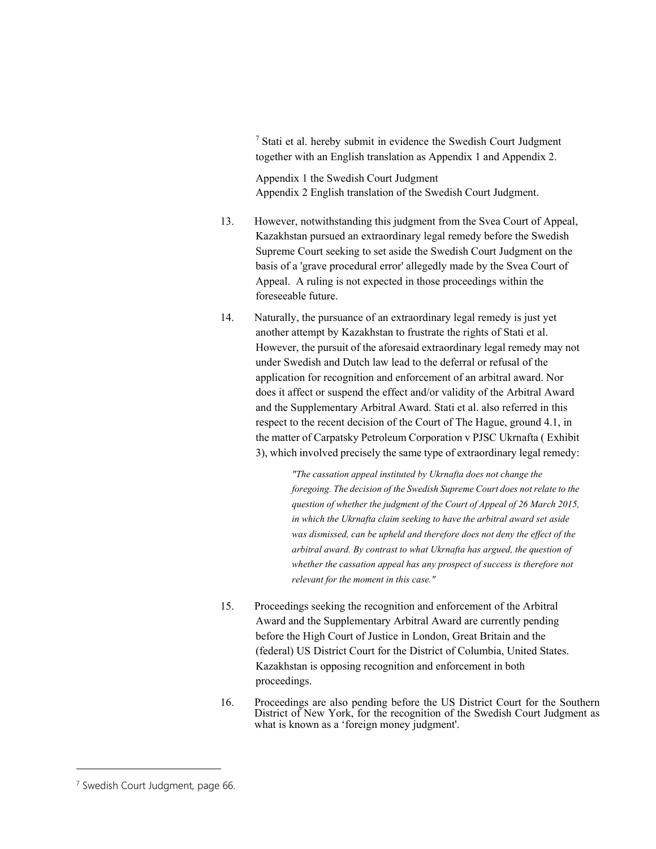<sup>7</sup> Stati et al. hereby submit in evidence the Swedish Court Judgment together with an English translation as Appendix 1 and Appendix 2.

Appendix 1 the Swedish Court Judgment Appendix 2 English translation of the Swedish Court Judgment.

- 13. However, notwithstanding this judgment from the Svea Court of Appeal, Kazakhstan pursued an extraordinary legal remedy before the Swedish Supreme Court seeking to set aside the Swedish Court Judgment on the basis of a 'grave procedural error' allegedly made by the Svea Court of Appeal. A ruling is not expected in those proceedings within the foreseeable future.
- 14. Naturally, the pursuance of an extraordinary legal remedy is just yet another attempt by Kazakhstan to frustrate the rights of Stati et al. However, the pursuit of the aforesaid extraordinary legal remedy may not under Swedish and Dutch law lead to the deferral or refusal of the application for recognition and enforcement of an arbitral award. Nor does it affect or suspend the effect and/or validity of the Arbitral Award and the Supplementary Arbitral Award. Stati et al. also referred in this respect to the recent decision of the Court of The Hague, ground 4.1, in the matter of Carpatsky Petroleum Corporation v PJSC Ukrnafta ( Exhibit 3), which involved precisely the same type of extraordinary legal remedy:

*"The cassation appeal instituted by Ukrnafta does not change the foregoing. The decision of the Swedish Supreme Court does not relate to the question of whether the judgment of the Court of Appeal of 26 March 2015, in which the Ukrnafta claim seeking to have the arbitral award set aside was dismissed, can be upheld and therefore does not deny the effect of the arbitral award. By contrast to what Ukrnafta has argued, the question of whether the cassation appeal has any prospect of success is therefore not relevant for the moment in this case."* 

- 15. Proceedings seeking the recognition and enforcement of the Arbitral Award and the Supplementary Arbitral Award are currently pending before the High Court of Justice in London, Great Britain and the (federal) US District Court for the District of Columbia, United States. Kazakhstan is opposing recognition and enforcement in both proceedings.
- 16. Proceedings are also pending before the US District Court for the Southern District of New York, for the recognition of the Swedish Court Judgment as what is known as a 'foreign money judgment'.

<sup>&</sup>lt;sup>7</sup> Swedish Court Judgment, page 66.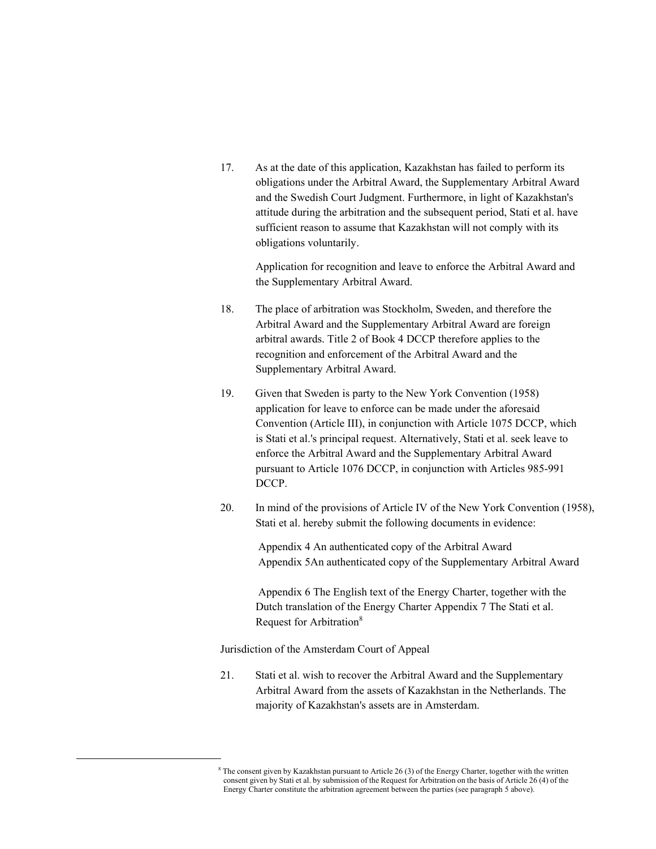17. As at the date of this application, Kazakhstan has failed to perform its obligations under the Arbitral Award, the Supplementary Arbitral Award and the Swedish Court Judgment. Furthermore, in light of Kazakhstan's attitude during the arbitration and the subsequent period, Stati et al. have sufficient reason to assume that Kazakhstan will not comply with its obligations voluntarily.

Application for recognition and leave to enforce the Arbitral Award and the Supplementary Arbitral Award.

- 18. The place of arbitration was Stockholm, Sweden, and therefore the Arbitral Award and the Supplementary Arbitral Award are foreign arbitral awards. Title 2 of Book 4 DCCP therefore applies to the recognition and enforcement of the Arbitral Award and the Supplementary Arbitral Award.
- 19. Given that Sweden is party to the New York Convention (1958) application for leave to enforce can be made under the aforesaid Convention (Article III), in conjunction with Article 1075 DCCP, which is Stati et al.'s principal request. Alternatively, Stati et al. seek leave to enforce the Arbitral Award and the Supplementary Arbitral Award pursuant to Article 1076 DCCP, in conjunction with Articles 985-991 DCCP.
- 20. In mind of the provisions of Article IV of the New York Convention (1958), Stati et al. hereby submit the following documents in evidence:

 Appendix 4 An authenticated copy of the Arbitral Award Appendix 5An authenticated copy of the Supplementary Arbitral Award

 Appendix 6 The English text of the Energy Charter, together with the Dutch translation of the Energy Charter Appendix 7 The Stati et al. Request for Arbitration<sup>8</sup>

Jurisdiction of the Amsterdam Court of Appeal

 $\overline{a}$ 

21. Stati et al. wish to recover the Arbitral Award and the Supplementary Arbitral Award from the assets of Kazakhstan in the Netherlands. The majority of Kazakhstan's assets are in Amsterdam.

<sup>&</sup>lt;sup>8</sup> The consent given by Kazakhstan pursuant to Article 26 (3) of the Energy Charter, together with the written consent given by Stati et al. by submission of the Request for Arbitration on the basis of Article 26 (4) of the Energy Charter constitute the arbitration agreement between the parties (see paragraph 5 above).